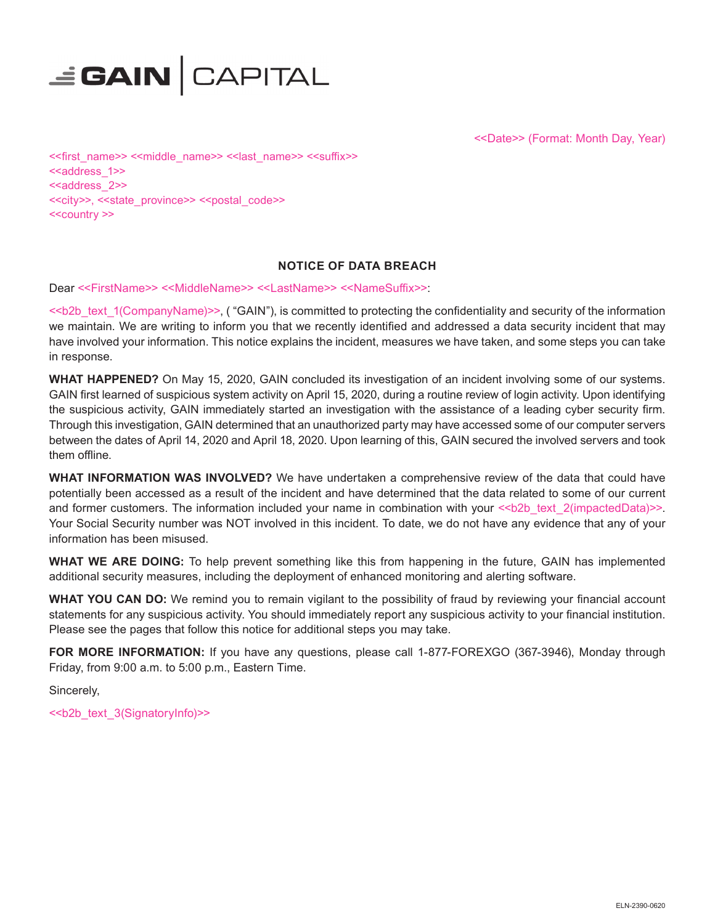

<<Date>> (Format: Month Day, Year)

<<first\_name>> <<middle\_name>> <<last\_name>> <<suffix>> <<address\_1>> <<address\_2>> <<city>>, <<state\_province>> <<postal\_code>> <<country >>

## **NOTICE OF DATA BREACH**

Dear <<FirstName>> <<MiddleName>> <<LastName>> <<NameSuffix>>:

<<b2b\_text\_1(CompanyName)>>, ( "GAIN"), is committed to protecting the confidentiality and security of the information we maintain. We are writing to inform you that we recently identified and addressed a data security incident that may have involved your information. This notice explains the incident, measures we have taken, and some steps you can take in response.

**WHAT HAPPENED?** On May 15, 2020, GAIN concluded its investigation of an incident involving some of our systems. GAIN first learned of suspicious system activity on April 15, 2020, during a routine review of login activity. Upon identifying the suspicious activity, GAIN immediately started an investigation with the assistance of a leading cyber security firm. Through this investigation, GAIN determined that an unauthorized party may have accessed some of our computer servers between the dates of April 14, 2020 and April 18, 2020. Upon learning of this, GAIN secured the involved servers and took them offline.

**WHAT INFORMATION WAS INVOLVED?** We have undertaken a comprehensive review of the data that could have potentially been accessed as a result of the incident and have determined that the data related to some of our current and former customers. The information included your name in combination with your  $\ll$ b2b text 2(impactedData)>>. Your Social Security number was NOT involved in this incident. To date, we do not have any evidence that any of your information has been misused.

**WHAT WE ARE DOING:** To help prevent something like this from happening in the future, GAIN has implemented additional security measures, including the deployment of enhanced monitoring and alerting software.

**WHAT YOU CAN DO:** We remind you to remain vigilant to the possibility of fraud by reviewing your financial account statements for any suspicious activity. You should immediately report any suspicious activity to your financial institution. Please see the pages that follow this notice for additional steps you may take.

**FOR MORE INFORMATION:** If you have any questions, please call 1-877-FOREXGO (367-3946), Monday through Friday, from 9:00 a.m. to 5:00 p.m., Eastern Time.

Sincerely,

<<b2b\_text\_3(SignatoryInfo)>>